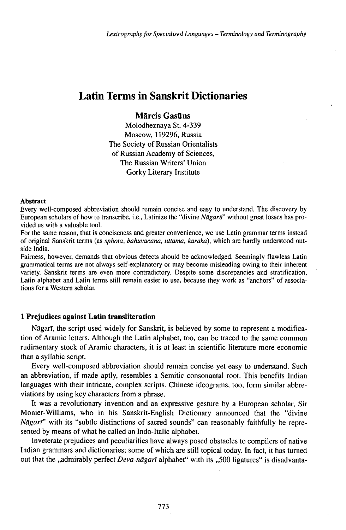# Latin Terms in Sanskrit Dictionaries

# **Märcis Gasüns**

Molodheznaya St. 4-339 Moscow, 119296, Russia The Society of Russian Orientalists of Russian Academy of Sciences, The Russian Writers' Union Gorky Literary Institute

#### Abstract

Every well-composed abbreviation should remain concise and easy to understand. The discovery by European scholars of how to transcribe, i.e., Latinize the "divine *Nagarū*" without great losses has provided us with a valuable tool.

For the same reason, that is conciseness and greater convenience, we use Latin grammar terms instead of original Sanskrit terms (as *sphota, bahuvacana, uttama, karaka),* which are hardly understood outside India.

Fairness, however, demands that obvious defects should be acknowledged. Seemingly flawless Latin grammatical terms are not always self-explanatory or may become misleading owing to their inherent variety. Sanskrit terms are even more contradictory. Despite some discrepancies and stratification, Latin alphabet and Latin terms still remain easier to use, because they work as "anchors" of associations for a Western scholar.

### **1 Prejudices against Latin transliteration**

Nāgarī, the script used widely for Sanskrit, is believed by some to represent a modification of Aramic letters. Although the Latin alphabet, too, can be traced to the same common rudimentary stock of Aramic characters, it is at least in scientific literature more economic than a syllabic script.

Every well-composed abbreviation should remain concise yet easy to understand. Such an abbreviation, if made aptly, resembles a Semitic consonantal root. This benefits Indian languages with their intricate, complex scripts. Chinese ideograms, too, form similar abbreviations by using key characters from a phrase.

It was a revolutionary invention and an expressive gesture by a European scholar, Sir Monier-Williams, who in his Sanskrit-English Dictionary announced that the "divine *Nāgart*" with its "subtle distinctions of sacred sounds" can reasonably faithfully be represented by means of what he called an Indo-Italic alphabet.

Inveterate prejudices and peculiarities have always posed obstacles to compilers ofnative Indian grammars and dictionaries; some of which are still topical today. In fact, it has turned out that the "admirably perfect *Deva-nagart* alphabet" with its "500 ligatures" is disadvanta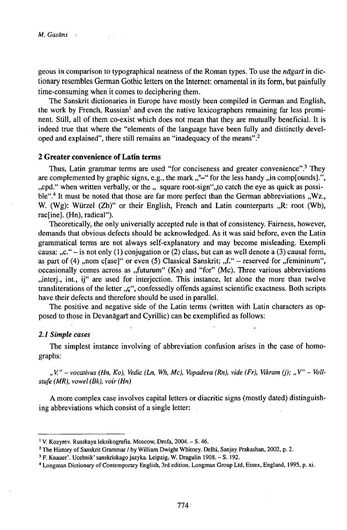geous in comparison to typographical neatness of the Roman types. To use the *nagart* in dictionary resembles German Gothic letters on the Internet: ornamental in its form, but painfully time-consuming when it comes to deciphering them.

The Sanskrit dictionaries in Europe have mostly been compiled in German and English, the work by French, Russian<sup>1</sup> and even the native lexicographers remaining far less prominent. Still, all of them co-exist which does not mean that they are mutually beneficial. It is indeed true that where the "elements of the language have been fully and distinctly developed and explained", there still remains an "inadequacy of the means".<sup>2</sup>

## **2 Greater convenience of Latin terms**

Thus, Latin grammar terms are used "for conciseness and greater convenience".<sup>3</sup> They are complemented by graphic signs, e.g., the mark  $, \degree$ -" for the less handy  $, \degree$  in comp[ounds].", ", cpd." when written verbally, or the  $,$  square root-sign", to catch the eye as quick as possible".<sup>4</sup> It must be noted that those are far more perfect than the German abbreviations ,,Wz., W. (Wg): Würzel  $(Zh)$ " or their English, French and Latin counterparts  $R$ : root (Wb), rac[ine]. (Hn), radical").

Theoretically, the only universally accepted rule is that of consistency. Fairness, however, demands that obvious defects should be acknowledged. As it was said before, even the Latin grammatical terms are not always self-explanatory and may become misleading. Exempli causa:  $C^{\prime\prime}$  - is not only (1) conjugation or (2) class, but can as well denote a (3) causal form, as part of (4) ,,nom c[ase]" or even (5) Classical Sanskrit;  $f$ .  $f$ . - reserved for  $f$ , femininum", occasionally comes across as "futurum"  $(Kn)$  and "for"  $(Mc)$ . Three various abbreviations ,,interj., int., ij" are used for interjection. This instance, let alone the more than twelve transliterations of the letter "ç", confessedly offends against scientific exactness. Both scripts have their defects and therefore should be used in parallel.

The positive and negative side of the Latin terms (written with Latin characters as opposed to those in Devanāgarī and Cyrillic) can be exemplified as follows:

#### *2.1 Simple cases*

The simplest instance involving of abbreviation confusion arises in the case of homographs:

"V." – vocativus (Hn, Ko), Vedic (Ln, Wh, Mc), Vopadeva (Rn), vide (Fr), Vikram (j); "V" – Voll*stufe (MR), vowel (Bk), voir (Hn)*

A more complex case involves capital letters or diacritic signs (mostly dated) distinguishing abbreviations which consist of a single letter:

<sup>1</sup>V. Kozyrev. Russkaya leksikografia. Moscow, Drofa, 2004. - S. 46.

<sup>2</sup> The History of Sanskrit Grammar / by William Dwight Whitney. Delhi, Sanjay Prakashan, 2002, p. 2.

<sup>3</sup> F. Knauer'. Ucebnik' sanskriskagojazyka. Leipzig, W. Dragulin 1908. - S. 192.

<sup>&</sup>lt;sup>4</sup> Longman Dictionary of Contemporary English, 3rd edition. Longman Group Ltd, Essex, England, 1995, p. xi.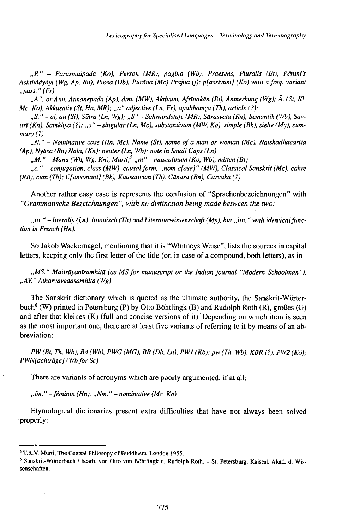*"P." - Parasmaipada (Ko), Person (MR), pagina (Wb), Praesens, Pluralis (Bt), Punini's Ashthadyäyi (Wg, Ap, Rn), Prosa (Db), •••••• (Mc) Prajna (j); p[assivum] (Ko) with afreq. variant "pass. " (Fr)*

*"A", orAtm. Atmanepada (Ap), átm. (MW), Aktivum, ÄfrTnakän (Bt), Anmerkung (Wg); Ä. (St, Kl, Mc, Ko), Akkusativ (St, Hn, MR); "a" adjective (Ln, Fr), apabhamça (Th), article (?);*

*"S. " - ai, au (Si), Sutra (Ln, Wg); "S" - Schwundstufe (MR), Särasvata (Rn), Semantik (Wb), SavitrT(Kn), Samkhya (?); "s" - singular (Ln, Mc), substantivum (MW, Ko), simple (Bk), siehe (My), summary (?)*

*"N." - Nominative case (Hn, Mc), Name (St), name ofa man or woman (Mc), Naishadhacarita (Ap), Nyäsa (Rn) Nala, (Kn); neuter (Ln, Wb); note in Small Caps (Ln)*

*"M. " -Manu (Wh, Wg, Kn), Murti;<sup>5</sup> "m" - masculinum (Ko, Wb), mitten (Bt)*

*"c. " - conjugation, class (MW), causalform, "nom c[ase]" (MW), Classical Sanskrit (Mc), cakre (RB), cum (Th); C[onsonant] (Bk), Kausativum (Th), Cundra (Rn), Carvaka (?)*

Another rather easy case is represents the confusion of "Sprachenbezeichnungen" with *"Grammatische Bezeichnungen", with no distinction being made between the two:*

"lit." – literally (Ln), littauisch (Th) and Literaturwissenschaft (My), but "litt." with identical func*tion in French (Hn).*

So Jakob Wackernagel, mentioning that it is "Whitneys Weise", lists the sources in capital letters, keeping only the first letter of the title (or, in case of a compound, both letters), as in

*"MS." MaiträyanTsamhitä (as MSfor manuscript or the lndianjournal "Modern Schoolman"), "AV. " Atharvavedasamhitđ ( Wg)*

The Sanskrit dictionary which is quoted as the ultimate authority, the Sanskrit-Wörterbuch<sup>6</sup> (W) printed in Petersburg (P) by Otto Böhtlingk (B) and Rudolph Roth (R), großes (G) and after that kleines (K) (full and concise versions of it). Depending on which item is seen as the most important one, there are at least five variants of referring to it by means of an abbreviation:

*PW(Bt, Th, Wb), Bö (Wh), PWG (MG), BR (Db, Ln), PW1 (Kö); pw (Th, Wb), KBR (?), PW2 (Kö); PWN[achtrage] (Wbfor Sc)*

There are variants of acronyms which are poorly argumented, if at all:

*"fm. " -feminin (Hn), "Nm. " - nominative (Mc, Ko)*

Etymological dictionaries present extra difficulties that have not always been solved properly:

 $\tau=1$ 

<sup>&</sup>lt;sup>5</sup> T.R.V. Murti, The Central Philosopy of Buddhism. London 1955.

<sup>6</sup> Sanskrit-Wörterbuch / bearb. von Otto von Böhtlingk u. Rudolph Roth. - St. Petersburg: Kaiserl. Akad. d. Wissenschaften.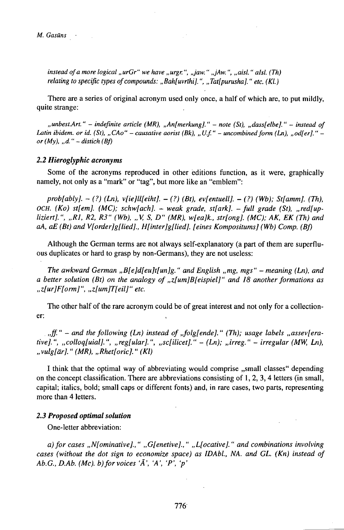*M. Gasans*

*instead ofa more logical "urGr" we have "urgr. ", "jaw. " "jAw. ", "aisl. " aIsl. (Th) relating to specific types ofcompounds: ,,Bah[uvrlhi]. ", ,,Tat[purusha]. " etc. (Kl.)*

There are a series of original acronym used only once, a half of which are, to put mildly, quite strange:

*"unbest.Art." - indefinite article (MR), ,,An[merkung]."* - *note (St), ,,dass[elbe]."* - *instead of* Latin ibidem. or id. (St), "CAo" – causative aorist (Bk), "U.f." – uncombined form (Ln), "od[er]." – *or*  $(My)$ , "*d.* " – *distich*  $(Bf)$ 

#### *2.2 Hieroglyphic acronyms*

Some of the acronyms reproduced in other editions function, as it were, graphically namely, not only as a "mark" or "tag", but more like an "emblem":

*prob[ably]. - (?) (Ln), v[ie]ll[eiht]. - (?) (Bt), ev[entuell]. - (?) (Wb); St[amm]. (Th), OCH. (Ko) st[em]. (MC); schw[ach].* - *weak grade, st[ark].* - *full grade (St), " red[upliziert].", "R1, R2, R3" (Wb), "V, S, D" (MR), w[ea]k., str[ong]. (MC); AK, EK (Th) and aA, aE (Bt) and V[order]g[lied]., H[inter]g[lied]. [eines Kompositums] (Wb) Comp. (Bf)*

Although the German terms are not always self-explanatory (a part of them are superfluous duplicates or hard to grasp by non-Germans), they are not useless:

*The awkward German ,,B[e]d[eu]t[un]g. " and English "mg, mgs" - meaning (Ln), and a better solution (Bt) on the analogy of,,z[um]B[eispiel]" and 18 anotherformations as ,,z[ur]F[orm]", ,,z[um]T[eil]" etc.*

The other half of the rare acronym could be of great interest and not only for a collectioner:

*n*<sub>*ff.*" – and the following *(Ln)* instead of *,folg[ende].*" *(Th);* usage labels *,,assev[era-*</sub> *tive].", ,,colloq[uial].", ,,reg[ular].", ,,sc[ilicet]." - (Ln); "irreg." - irregular (MW, Ln), ,,vulg[ar]. " (MR), ,,Rhet[oric]. " (Kl)*

I think that the optimal way of abbreviating would comprise "small classes" depending on the concept classification. There are abbreviations consisting of 1, 2, 3,4 letters (in small, capital; italics, bold; small caps or different fonts) and, in rare cases, two parts, representing more than 4 letters.

#### *2.3 Proposed optimal solution*

One-letter abbreviation:

*a)forcases ,,N[ominativeJ.," ,,G[enetive].," ,,L[ocative]." andcombinations involving cases (without the dot sign to economize space) as IDAbl., NA. and GL. (Kn) instead of Ab.G., D.Ab. (Mc). b)forvoices 'Ä', 'A', 'P', 'p'*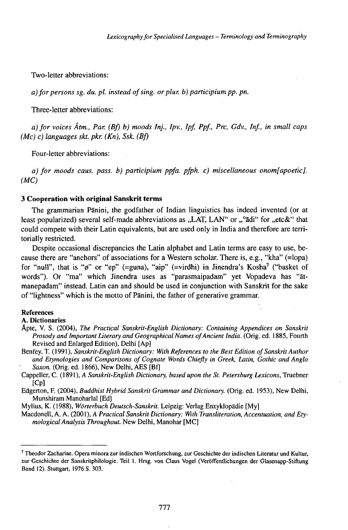Two-letter abbreviations:

*a)forpersonssg. du. pl. insteadofsing. orplur. b)participiumpp. pn.*

Three-letter abbreviations:

*a) for voices Atrn., Par. (Bf) b) moods Inj., Ipv., Ipf, Ppf., Prc, Gdv., Inf., in small caps (Mc) c) languages skt. pkr. {Kn), Ssk. (Bf)*

Four-letter abbreviations:

*a) for moods caus. pass, b) participium ppfa. pfph. c) miscellaneous onom[apoetic]. (MC)*

#### **3 Cooperation with original Sanskrit terms**

The grammarian Pänini, the godfather of Indian linguistics has indeed invented (or at least popularized) several self-made abbreviations as "LAT, LAN" or "°ādi" for "etc&" that could compete with their Latin equivalents, but are used only in India and therefore are territorially restricted.

Despite occasional discrepancies the Latin alphabet and Latin terms are easy to use, because there are "anchors" of associations for a Western scholar. There is, e.g., "kha" (=lopa) for "null", that is "ø" or "ep" (=guna), "aip" (=virdhi) in Jinendra's Kosha<sup>7</sup> ("basket of words"). Or "ma" which Jinendra uses as "parasmaipadam" yet Vopadeva has "ätmanepadam" instead. Latin can and should be used in conjunction with Sanskrit for the sake of "lightness" which is the motto of Pänini, the father of generative grammar.

#### References

**A. Dictionaries**

- Åpte, V. S. (2004), *The Practical Sanskrit-English Dictionary: Containing Appendices on Sanskrit Prosody and Important Literary and Geographical Names ofAncient India.* (Orig. ed. 1885, Fourth Revised and Enlarged Edition), Delhi [Ap]
- Benfey, T. (1991), *Sanskrit-English Dictionary: With References to the Best Edition ofSanskritAuthor and Etymologies and Comparisons of Cognate Words Chiefly in Greek, Latin, Gothic and Anglo Saxon.* (Orig. ed. 1866), New Delhi, AES [Bfj

Cappeller, C. (1891), *A Sanskrit-English Dictionary, based upon the St. Petersburg Lexicons,* Truebner [Cp]

Edgerton, F. (2004), *Buddhist Hybrid Sanskrit Grammar and Dictionary.* (Orig. ed. 1953), New Delhi, Munshiram Manoharlal [Ed]

Mylius, K. (1988), *WórterbuchDeutsch-Sanskrit.* Leipzig: Verlag Enzyklopädie [My]

Macdonell, A. A. (2001), *A Practical Sanskrit Dictionary: With Transliteration, Accentuation, and EtymologicalAnalysis Throughout.* New Delhi, Manohar [MC]

<sup>7</sup> Theodor Zachariae. Opera minora zur indischen Wortforschung, zur Geschichte der indischen Literatur und Kultur, zur Geschichte der Sanskritphilologie. Teil 1. Hrsg. von Claus Vogel (Veröffentlichungen der Glasenapp-Stiftung Band 12). Stuttgart, 1976 S. 303.